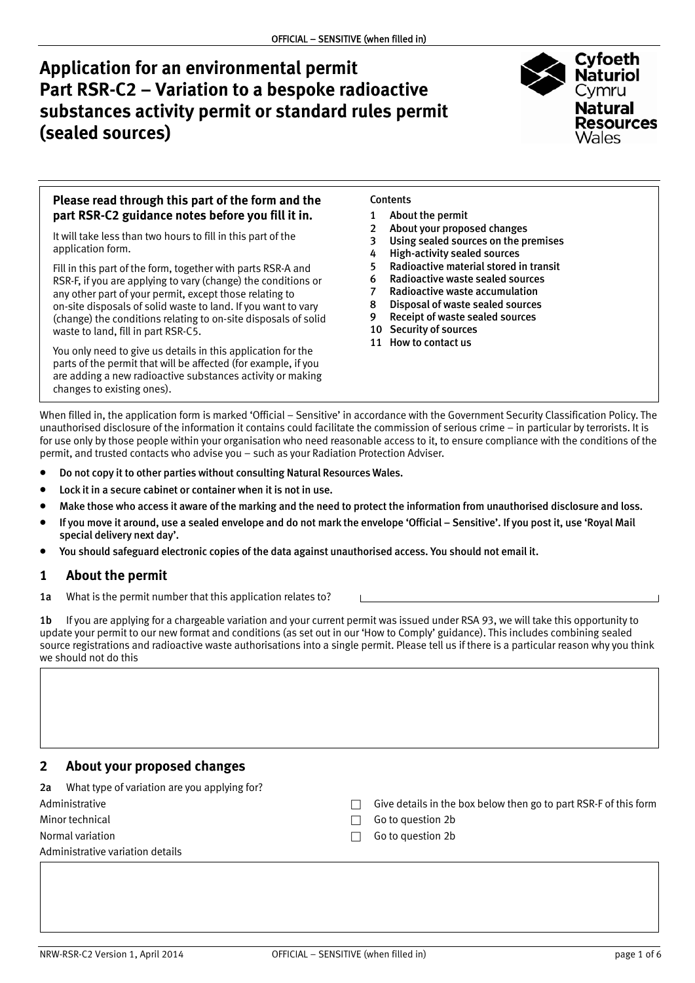# **Application for an environmental permit Part RSR-C2 – Variation to a bespoke radioactive substances activity permit or standard rules permit (sealed sources)**



#### **Please read through this part of the form and the part RSR-C2 guidance notes before you fill it in.**

It will take less than two hours to fill in this part of the application form.

Fill in this part of the form, together with parts RSR-A and RSR-F, if you are applying to vary (change) the conditions or any other part of your permit, except those relating to on-site disposals of solid waste to land. If you want to vary (change) the conditions relating to on-site disposals of solid waste to land, fill in part RSR-C5.

You only need to give us details in this application for the parts of the permit that will be affected (for example, if you are adding a new radioactive substances activity or making changes to existing ones).

#### **Contents**

- 1 About the permit
- 2 About your proposed changes
- [3 Using sealed sources on the premises](#page-1-0)
- [4 High-activity sealed sources](#page-2-0)
- [5 Radioactive material stored in transit](#page-3-0)
- [6 Radioactive waste sealed sources](#page-3-0)
- [7 Radioactive waste accumulation](#page-3-0)
- [8 Disposal of waste sealed sources](#page-4-0)
- [9 Receipt of waste sealed sources](#page-4-0)
- [10 Security of sources](#page-5-0)
- [11 How to contact us](#page-5-0)

When filled in, the application form is marked 'Official – Sensitive' in accordance with the Government Security Classification Policy. The unauthorised disclosure of the information it contains could facilitate the commission of serious crime – in particular by terrorists. It is for use only by those people within your organisation who need reasonable access to it, to ensure compliance with the conditions of the permit, and trusted contacts who advise you – such as your Radiation Protection Adviser.

- Do not copy it to other parties without consulting Natural Resources Wales.
- Lock it in a secure cabinet or container when it is not in use.
- Make those who access it aware of the marking and the need to protect the information from unauthorised disclosure and loss.
- If you move it around, use a sealed envelope and do not mark the envelope 'Official Sensitive'. If you post it, use 'Royal Mail special delivery next day'.
- You should safeguard electronic copies of the data against unauthorised access. You should not email it.

#### **1 About the permit**

1a What is the permit number that this application relates to?

1b If you are applying for a chargeable variation and your current permit was issued under RSA 93, we will take this opportunity to update your permit to our new format and conditions (as set out in our 'How to Comply' guidance). This includes combining sealed source registrations and radioactive waste authorisations into a single permit. Please tell us if there is a particular reason why you think we should not do this

# **2 About your proposed changes**

2a What type of variation are you applying for?

Administrative variation details

- Administrative  $\Box$  Give details in the box below then go to part RSR-F of this form
- Minor technical  $\Box$  F Go to question 2b
- Normal variation  $\Box$  Go to question 2b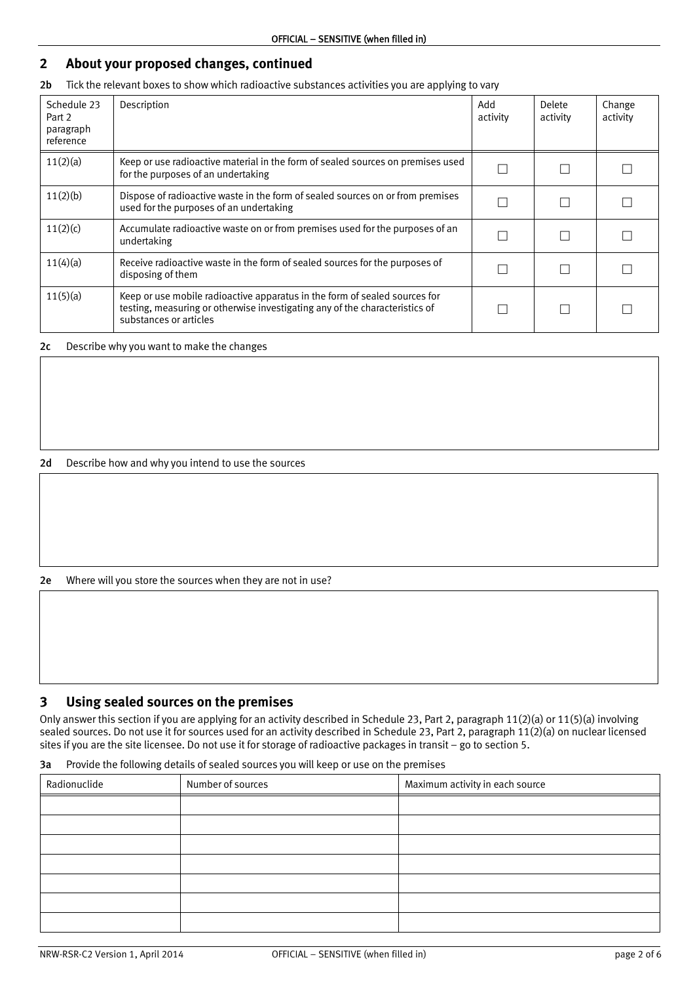# <span id="page-1-0"></span>**2 About your proposed changes, continued**

2b Tick the relevant boxes to show which radioactive substances activities you are applying to vary

| Schedule 23<br>Part 2<br>paragraph<br>reference | Description                                                                                                                                                                         | <b>Add</b><br>activity | <b>Delete</b><br>activity | Change<br>activity |
|-------------------------------------------------|-------------------------------------------------------------------------------------------------------------------------------------------------------------------------------------|------------------------|---------------------------|--------------------|
| 11(2)(a)                                        | Keep or use radioactive material in the form of sealed sources on premises used<br>for the purposes of an undertaking                                                               |                        |                           |                    |
| 11(2)(b)                                        | Dispose of radioactive waste in the form of sealed sources on or from premises<br>used for the purposes of an undertaking                                                           |                        |                           |                    |
| 11(2)(c)                                        | Accumulate radioactive waste on or from premises used for the purposes of an<br>undertaking                                                                                         |                        |                           |                    |
| 11(4)(a)                                        | Receive radioactive waste in the form of sealed sources for the purposes of<br>disposing of them                                                                                    |                        |                           |                    |
| 11(5)(a)                                        | Keep or use mobile radioactive apparatus in the form of sealed sources for<br>testing, measuring or otherwise investigating any of the characteristics of<br>substances or articles |                        |                           |                    |

2c Describe why you want to make the changes

#### 2d Describe how and why you intend to use the sources

2e Where will you store the sources when they are not in use?

# **3 Using sealed sources on the premises**

Only answer this section if you are applying for an activity described in Schedule 23, Part 2, paragraph 11(2)(a) or 11(5)(a) involving sealed sources. Do not use it for sources used for an activity described in Schedule 23, Part 2, paragraph 11(2)(a) on nuclear licensed sites if you are the site licensee. Do not use it for storage of radioactive packages in transit – go to section 5.

#### 3a Provide the following details of sealed sources you will keep or use on the premises

| Radionuclide | Number of sources | Maximum activity in each source |
|--------------|-------------------|---------------------------------|
|              |                   |                                 |
|              |                   |                                 |
|              |                   |                                 |
|              |                   |                                 |
|              |                   |                                 |
|              |                   |                                 |
|              |                   |                                 |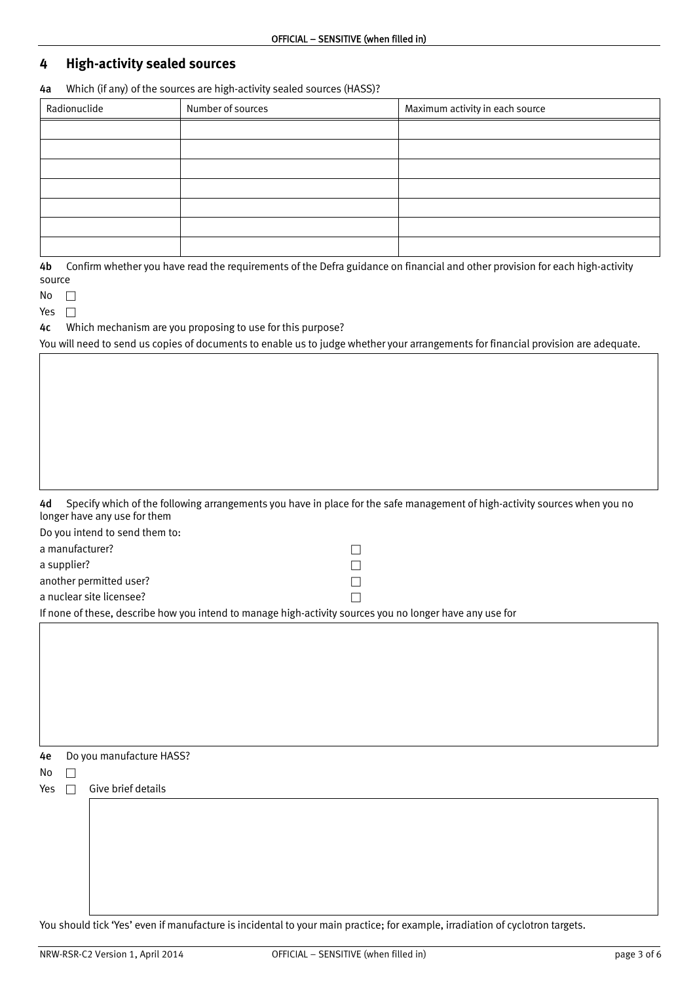# <span id="page-2-0"></span>**4 High-activity sealed sources**

4a Which (if any) of the sources are high-activity sealed sources (HASS)?

| Radionuclide | Number of sources | Maximum activity in each source |
|--------------|-------------------|---------------------------------|
|              |                   |                                 |
|              |                   |                                 |
|              |                   |                                 |
|              |                   |                                 |
|              |                   |                                 |
|              |                   |                                 |
|              |                   |                                 |

4b Confirm whether you have read the requirements of the Defra guidance on financial and other provision for each high-activity source

 $No$   $\Box$ 

Yes  $\square$ 

4c Which mechanism are you proposing to use for this purpose?

You will need to send us copies of documents to enable us to judge whether your arrangements for financial provision are adequate.

4d Specify which of the following arrangements you have in place for the safe management of high-activity sources when you no longer have any use for them

| Do you intend to send them to:                                                                           |  |
|----------------------------------------------------------------------------------------------------------|--|
| a manufacturer?                                                                                          |  |
| a supplier?                                                                                              |  |
| another permitted user?                                                                                  |  |
| a nuclear site licensee?                                                                                 |  |
| If none of these, describe how you intend to manage high-activity sources you no longer have any use for |  |

4e Do you manufacture HASS?

 $No$   $\Box$ 

Yes  $\Box$  Give brief details

You should tick 'Yes' even if manufacture is incidental to your main practice; for example, irradiation of cyclotron targets.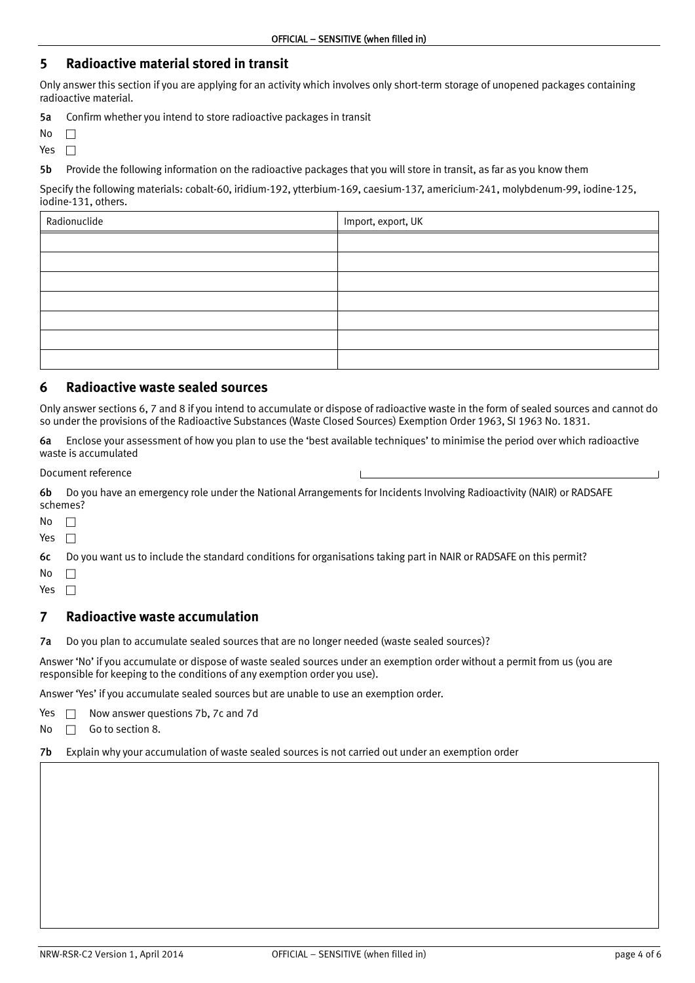# <span id="page-3-0"></span>**5 Radioactive material stored in transit**

Only answer this section if you are applying for an activity which involves only short-term storage of unopened packages containing radioactive material.

- 5a Confirm whether you intend to store radioactive packages in transit
- No  $\Box$
- Yes  $\Box$

5b Provide the following information on the radioactive packages that you will store in transit, as far as you know them

Specify the following materials: cobalt-60, iridium-192, ytterbium-169, caesium-137, americium-241, molybdenum-99, iodine-125, iodine-131, others.

| Radionuclide | Import, export, UK |
|--------------|--------------------|
|              |                    |
|              |                    |
|              |                    |
|              |                    |
|              |                    |
|              |                    |
|              |                    |

# **6 Radioactive waste sealed sources**

Only answer sections 6, 7 and 8 if you intend to accumulate or dispose of radioactive waste in the form of sealed sources and cannot do so under the provisions of the Radioactive Substances (Waste Closed Sources) Exemption Order 1963, SI 1963 No. 1831.

6a Enclose your assessment of how you plan to use the 'best available techniques' to minimise the period over which radioactive waste is accumulated

Document reference

6b Do you have an emergency role under the National Arrangements for Incidents Involving Radioactivity (NAIR) or RADSAFE schemes?

 $No \quad \Box$ 

Yes  $\Box$ 

6c Do you want us to include the standard conditions for organisations taking part in NAIR or RADSAFE on this permit?

- $No$   $\Box$
- Yes  $\Box$

# **7 Radioactive waste accumulation**

7a Do you plan to accumulate sealed sources that are no longer needed (waste sealed sources)?

Answer 'No' if you accumulate or dispose of waste sealed sources under an exemption order without a permit from us (you are responsible for keeping to the conditions of any exemption order you use).

Answer 'Yes' if you accumulate sealed sources but are unable to use an exemption order.

- Yes  $\Box$  Now answer questions 7b, 7c and 7d
- No  $\Box$  Go to section 8.

7b Explain why your accumulation of waste sealed sources is not carried out under an exemption order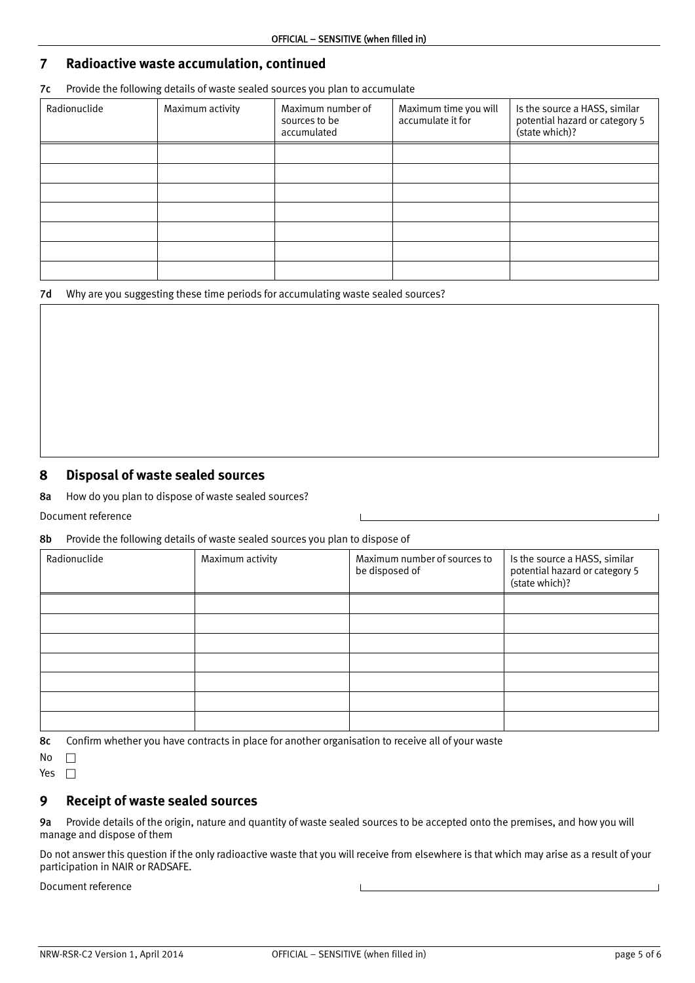## <span id="page-4-0"></span>**7 Radioactive waste accumulation, continued**

7c Provide the following details of waste sealed sources you plan to accumulate

| Radionuclide | Maximum activity | Maximum number of<br>sources to be<br>accumulated | Maximum time you will<br>accumulate it for | Is the source a HASS, similar<br>potential hazard or category 5<br>(state which)? |
|--------------|------------------|---------------------------------------------------|--------------------------------------------|-----------------------------------------------------------------------------------|
|              |                  |                                                   |                                            |                                                                                   |
|              |                  |                                                   |                                            |                                                                                   |
|              |                  |                                                   |                                            |                                                                                   |
|              |                  |                                                   |                                            |                                                                                   |
|              |                  |                                                   |                                            |                                                                                   |
|              |                  |                                                   |                                            |                                                                                   |
|              |                  |                                                   |                                            |                                                                                   |

7d Why are you suggesting these time periods for accumulating waste sealed sources?

#### **8 Disposal of waste sealed sources**

8a How do you plan to dispose of waste sealed sources?

Document reference

#### 8b Provide the following details of waste sealed sources you plan to dispose of

| Radionuclide | Maximum activity | Maximum number of sources to<br>be disposed of | Is the source a HASS, similar<br>potential hazard or category 5<br>(state which)? |
|--------------|------------------|------------------------------------------------|-----------------------------------------------------------------------------------|
|              |                  |                                                |                                                                                   |
|              |                  |                                                |                                                                                   |
|              |                  |                                                |                                                                                   |
|              |                  |                                                |                                                                                   |
|              |                  |                                                |                                                                                   |
|              |                  |                                                |                                                                                   |
|              |                  |                                                |                                                                                   |

8c Confirm whether you have contracts in place for another organisation to receive all of your waste

#### **9 Receipt of waste sealed sources**

9a Provide details of the origin, nature and quantity of waste sealed sources to be accepted onto the premises, and how you will manage and dispose of them

Do not answer this question if the only radioactive waste that you will receive from elsewhere is that which may arise as a result of your participation in NAIR or RADSAFE.

Document reference

 $No$   $\Box$ 

Yes  $\Box$